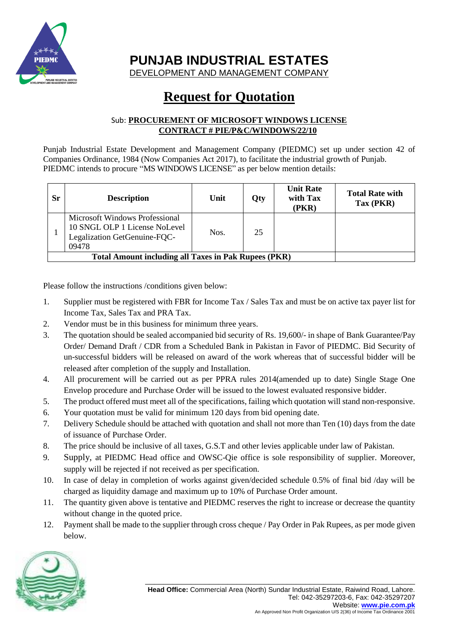

**PUNJAB INDUSTRIAL ESTATES**

DEVELOPMENT AND MANAGEMENT COMPANY

## **Request for Quotation**

## Sub: **PROCUREMENT OF MICROSOFT WINDOWS LICENSE CONTRACT # PIE/P&C/WINDOWS/22/10**

Punjab Industrial Estate Development and Management Company (PIEDMC) set up under section 42 of Companies Ordinance, 1984 (Now Companies Act 2017), to facilitate the industrial growth of Punjab. PIEDMC intends to procure "MS WINDOWS LICENSE" as per below mention details:

| Sr | <b>Description</b>                                                                                       | Unit | Oty | <b>Unit Rate</b><br>with Tax<br>(PKR) | <b>Total Rate with</b><br>$\text{Tax}(\text{PKR})$ |
|----|----------------------------------------------------------------------------------------------------------|------|-----|---------------------------------------|----------------------------------------------------|
|    | Microsoft Windows Professional<br>10 SNGL OLP 1 License NoLevel<br>Legalization GetGenuine-FQC-<br>09478 | Nos. | 25  |                                       |                                                    |
|    | <b>Total Amount including all Taxes in Pak Rupees (PKR)</b>                                              |      |     |                                       |                                                    |

Please follow the instructions /conditions given below:

- 1. Supplier must be registered with FBR for Income Tax / Sales Tax and must be on active tax payer list for Income Tax, Sales Tax and PRA Tax.
- 2. Vendor must be in this business for minimum three years.
- 3. The quotation should be sealed accompanied bid security of Rs. 19,600/- in shape of Bank Guarantee/Pay Order/ Demand Draft / CDR from a Scheduled Bank in Pakistan in Favor of PIEDMC. Bid Security of un-successful bidders will be released on award of the work whereas that of successful bidder will be released after completion of the supply and Installation.
- 4. All procurement will be carried out as per PPRA rules 2014(amended up to date) Single Stage One Envelop procedure and Purchase Order will be issued to the lowest evaluated responsive bidder.
- 5. The product offered must meet all of the specifications, failing which quotation will stand non-responsive.
- 6. Your quotation must be valid for minimum 120 days from bid opening date.
- 7. Delivery Schedule should be attached with quotation and shall not more than Ten (10) days from the date of issuance of Purchase Order.
- 8. The price should be inclusive of all taxes, G.S.T and other levies applicable under law of Pakistan.
- 9. Supply, at PIEDMC Head office and OWSC-Qie office is sole responsibility of supplier. Moreover, supply will be rejected if not received as per specification.
- 10. In case of delay in completion of works against given/decided schedule 0.5% of final bid /day will be charged as liquidity damage and maximum up to 10% of Purchase Order amount.
- 11. The quantity given above is tentative and PIEDMC reserves the right to increase or decrease the quantity without change in the quoted price.
- 12. Payment shall be made to the supplier through cross cheque / Pay Order in Pak Rupees, as per mode given below.